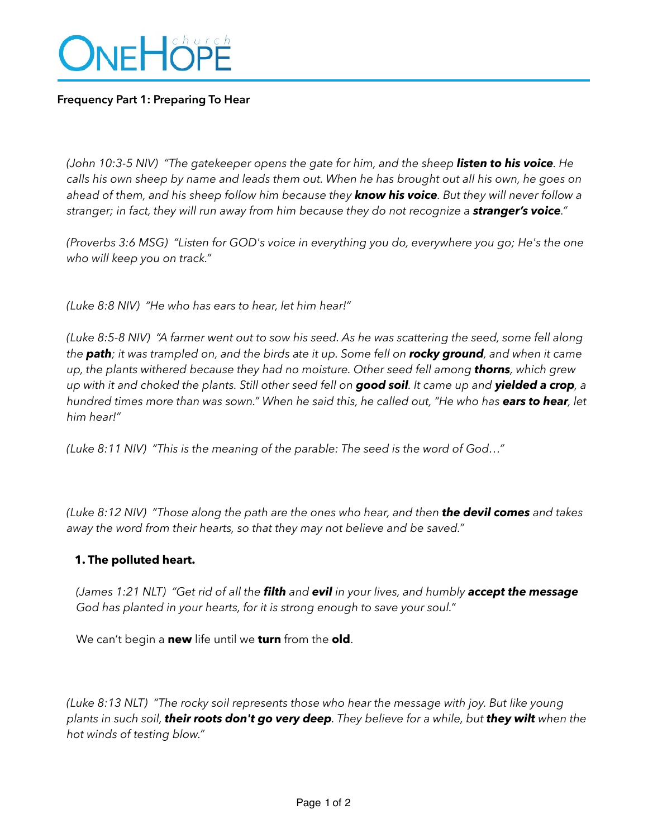

### **Frequency Part 1: Preparing To Hear**

*(John 10:3-5 NIV) "The gatekeeper opens the gate for him, and the sheep listen to his voice. He calls his own sheep by name and leads them out. When he has brought out all his own, he goes on ahead of them, and his sheep follow him because they know his voice. But they will never follow a stranger; in fact, they will run away from him because they do not recognize a stranger's voice."*

*(Proverbs 3:6 MSG) "Listen for GOD's voice in everything you do, everywhere you go; He's the one who will keep you on track."* 

*(Luke 8:8 NIV) "He who has ears to hear, let him hear!"* 

*(Luke 8:5-8 NIV) "A farmer went out to sow his seed. As he was scattering the seed, some fell along the path; it was trampled on, and the birds ate it up. Some fell on rocky ground, and when it came up, the plants withered because they had no moisture. Other seed fell among thorns, which grew up with it and choked the plants. Still other seed fell on good soil. It came up and yielded a crop, a hundred times more than was sown." When he said this, he called out, "He who has ears to hear, let him hear!"* 

*(Luke 8:11 NIV) "This is the meaning of the parable: The seed is the word of God…"* 

*(Luke 8:12 NIV) "Those along the path are the ones who hear, and then the devil comes and takes away the word from their hearts, so that they may not believe and be saved."* 

#### **1. The polluted heart.**

*(James 1:21 NLT) "Get rid of all the filth and evil in your lives, and humbly accept the message God has planted in your hearts, for it is strong enough to save your soul."* 

We can't begin a **new** life until we **turn** from the **old**.

*(Luke 8:13 NLT) "The rocky soil represents those who hear the message with joy. But like young plants in such soil, their roots don't go very deep. They believe for a while, but they wilt when the hot winds of testing blow."*